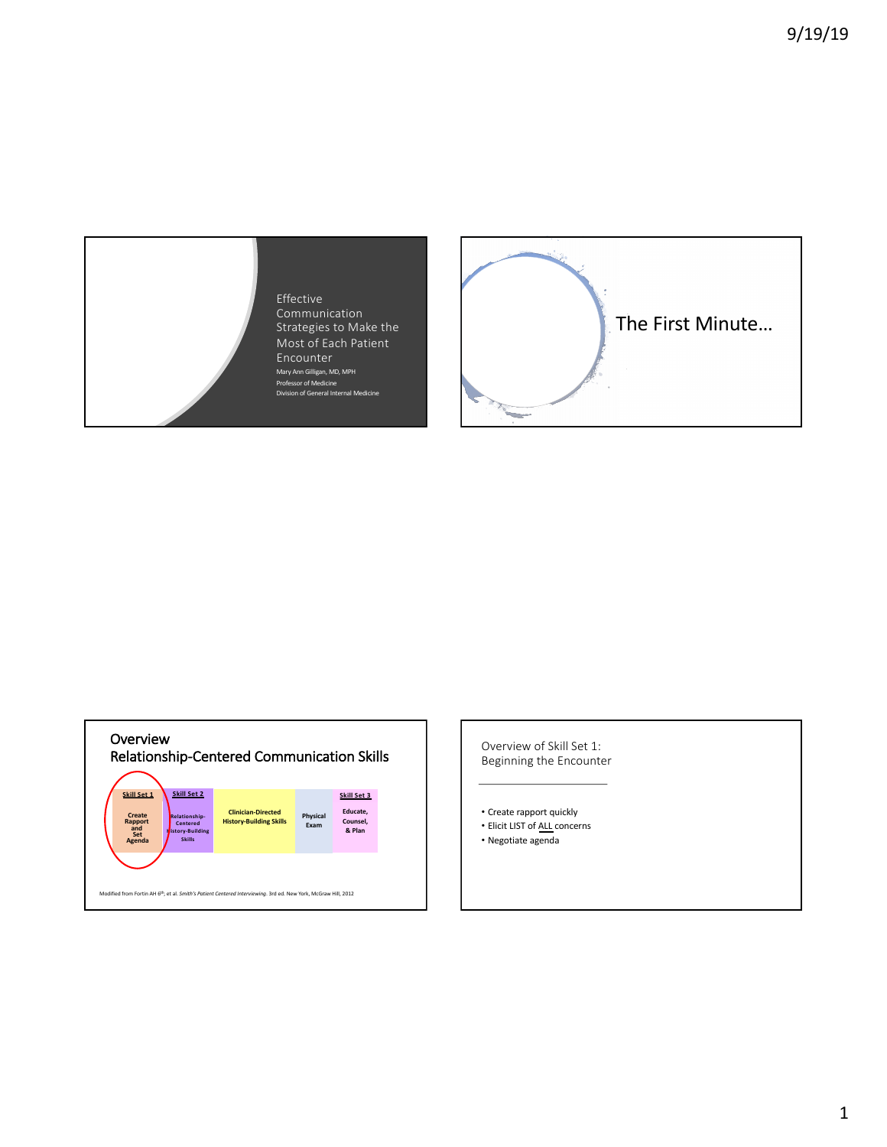Effective Communication Strategies to Make the Most of Each Patient Encounter Mary Ann Gilligan, MD, MPH Professor of Medicine Division of General Internal Medicine





Overview of Skill Set 1: Beginning the Encounter

- Create rapport quickly
- Elicit LIST of ALL concerns
- Negotiate agenda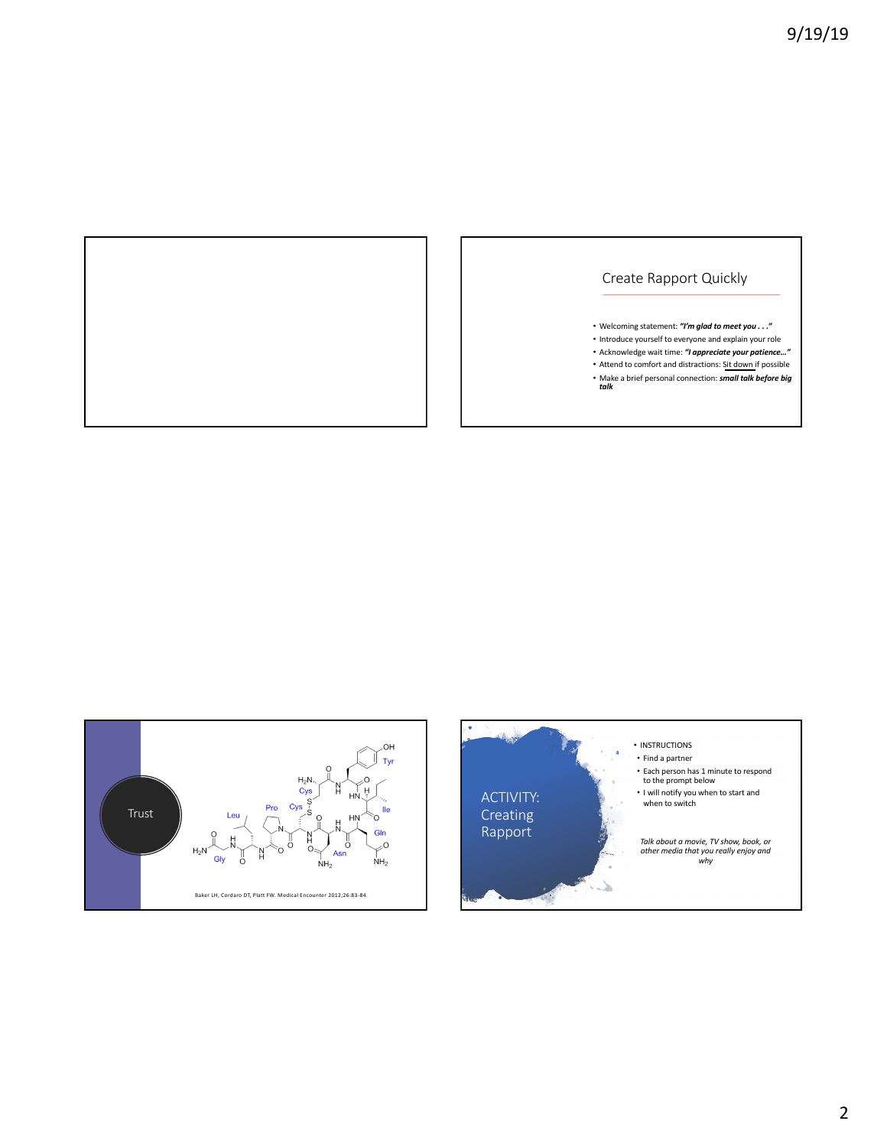

# Create Rapport Quickly

- Welcoming statement: *"I'm glad to meet you . . ."*
- Introduce yourself to everyone and explain your role
- Acknowledge wait time: *"I appreciate your patience…"*
- Attend to comfort and distractions: Sit down if possible
- Make a brief personal connection: *small talk before big talk*





- Each person has 1 minute to respond to the prompt below
- I will notify you when to start and when to switch

*Talk about a movie, TV show, book, or other media that you really enjoy and why*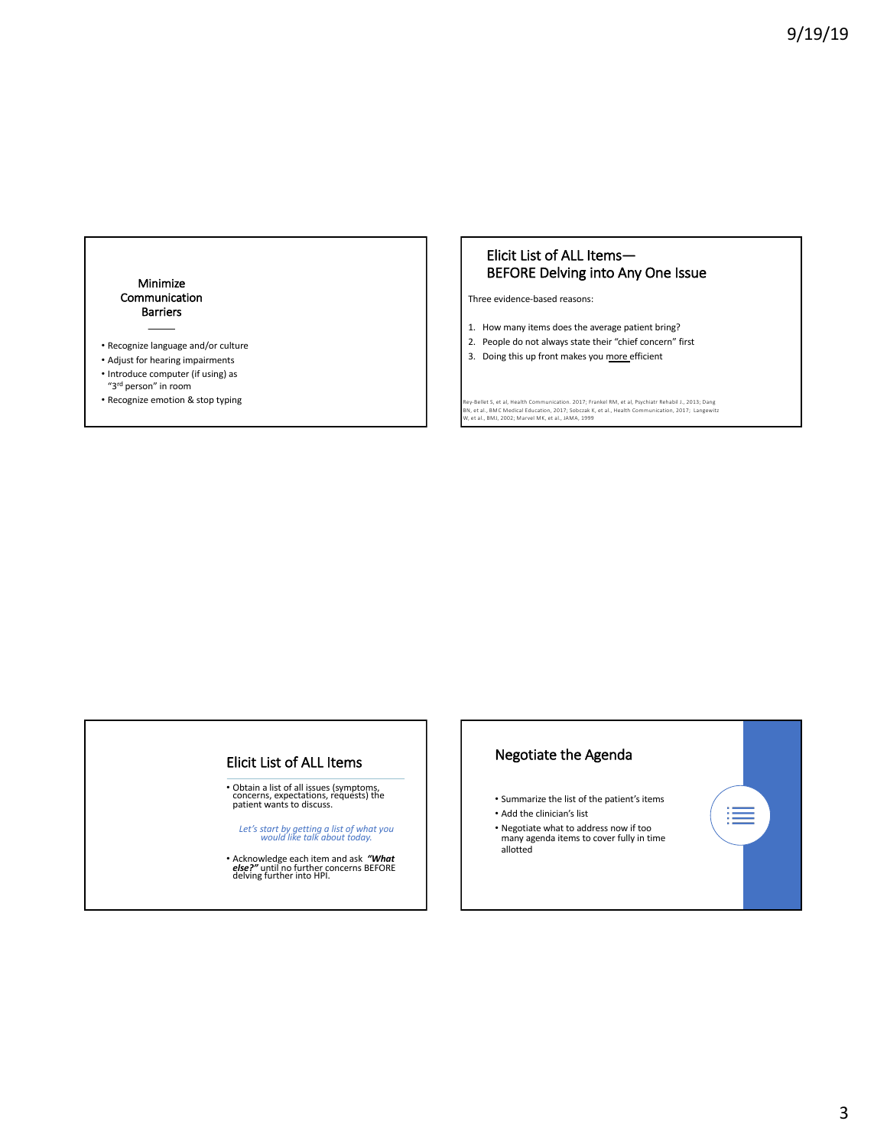### Minimize Communication Barriers

- Recognize language and/or culture
- Adjust for hearing impairments
- Introduce computer (if using) as "3rd person" in room
- Recognize emotion & stop typing

## Elicit List of ALL Items— BEFORE Delving into Any One Issue

Three evidence-based reasons:

- 1. How many items does the average patient bring?
- 2. People do not always state their "chief concern" first
- 3. Doing this up front makes you more efficient

Rey-Bellet S, et al, Health Communication. 2017; Frankel RM, et al, Psychiatr Rehabil J., 2013; Dang<br>BN, et al., BMC Medical Education, 2017; Sobczak K, et al., Health Communication, 2017; Langewitz<br>W, et al., BMJ, 2002;

### Elicit List of ALL Items

• Obtain a list of all issues (symptoms, concerns, expectations, requests) the patient wants to discuss.

*Let's start by getting a list of what you would like talk about today.*

• Acknowledge each item and ask *"What else?"* until no further concerns BEFORE delving further into HPI.

### Negotiate the Agenda

• Summarize the list of the patient's items • Add the clinician's list

≣

• Negotiate what to address now if too many agenda items to cover fully in time allotted